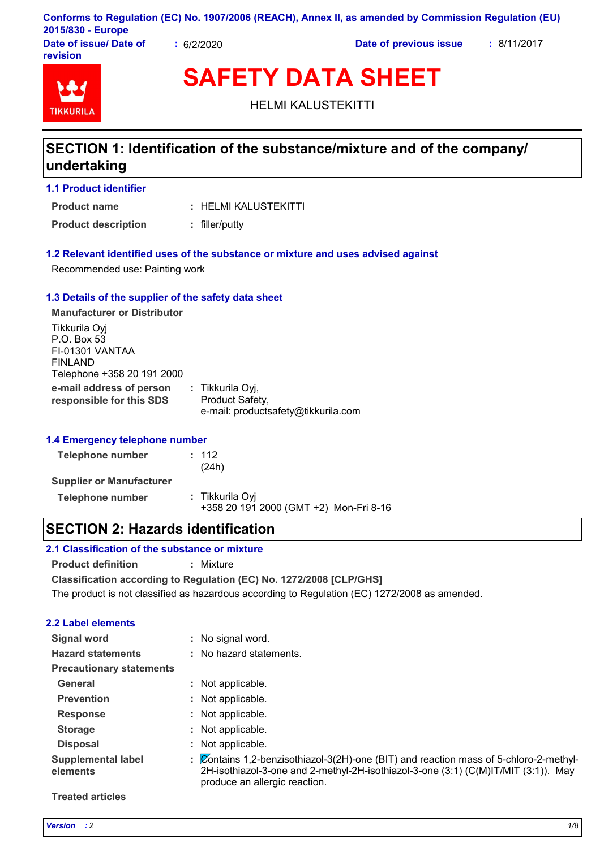|                        |                        | Conforms to Regulation (EC) No. 1907/2006 (REACH), Annex II, as amended by Commission Regulation (EU) |             |
|------------------------|------------------------|-------------------------------------------------------------------------------------------------------|-------------|
| 2015/830 - Europe      |                        |                                                                                                       |             |
| Date of issue/ Date of | $\frac{1}{2}$ 6/2/2020 | Date of previous issue                                                                                | : 8/11/2017 |

**Date of issue/ Date of revision**



**SAFETY DATA SHEET**

HELMI KALUSTEKITTI

## **SECTION 1: Identification of the substance/mixture and of the company/ undertaking**

**1.1 Product identifier**

HELMI KALUSTEKITTI **: Product name**

**Product description :** filler/putty

#### **1.2 Relevant identified uses of the substance or mixture and uses advised against**

Recommended use: Painting work

#### **1.3 Details of the supplier of the safety data sheet**

**e-mail address of person responsible for this SDS :** Tikkurila Oyj, Product Safety, e-mail: productsafety@tikkurila.com **Manufacturer or Distributor** Tikkurila Oyj P.O. Box 53 FI-01301 VANTAA FINLAND Telephone +358 20 191 2000

#### **1.4 Emergency telephone number**

| Telephone number                | : 112<br>(24h)                                            |
|---------------------------------|-----------------------------------------------------------|
| <b>Supplier or Manufacturer</b> |                                                           |
| Telephone number                | : Tikkurila Oyi<br>+358 20 191 2000 (GMT +2) Mon-Fri 8-16 |

### **SECTION 2: Hazards identification**

#### **2.1 Classification of the substance or mixture**

**Product definition :** Mixture

**Classification according to Regulation (EC) No. 1272/2008 [CLP/GHS]**

The product is not classified as hazardous according to Regulation (EC) 1272/2008 as amended.

#### **2.2 Label elements**

| Signal word                           |    | : No signal word.                                                                                                                                                                                          |
|---------------------------------------|----|------------------------------------------------------------------------------------------------------------------------------------------------------------------------------------------------------------|
| <b>Hazard statements</b>              |    | : No hazard statements.                                                                                                                                                                                    |
| <b>Precautionary statements</b>       |    |                                                                                                                                                                                                            |
| General                               |    | : Not applicable.                                                                                                                                                                                          |
| <b>Prevention</b>                     |    | : Not applicable.                                                                                                                                                                                          |
| <b>Response</b>                       |    | Not applicable.                                                                                                                                                                                            |
| <b>Storage</b>                        |    | : Not applicable.                                                                                                                                                                                          |
| <b>Disposal</b>                       |    | Not applicable.                                                                                                                                                                                            |
| <b>Supplemental label</b><br>elements | ÷. | Contains 1,2-benzisothiazol-3(2H)-one (BIT) and reaction mass of 5-chloro-2-methyl-<br>2H-isothiazol-3-one and 2-methyl-2H-isothiazol-3-one (3:1) (C(M)IT/MIT (3:1)). May<br>produce an allergic reaction. |

#### **Treated articles**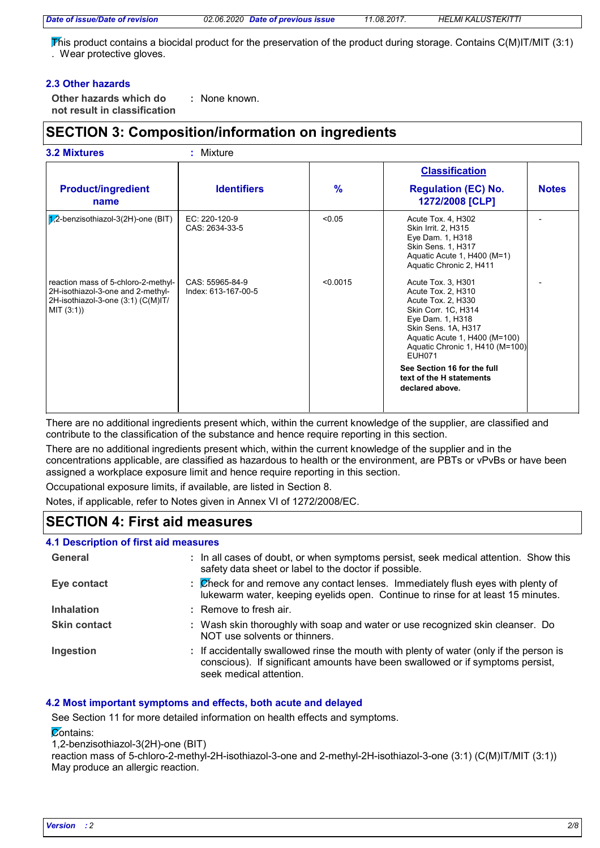*Date of issue/Date of revision 02.06.2020 Date of previous issue 11.08.2017. HELMI KALUSTEKITTI*

This product contains a biocidal product for the preservation of the product during storage. Contains C(M)IT/MIT (3:1) . Wear protective gloves.

#### **2.3 Other hazards**

**Other hazards which do : not result in classification** : None known.

### **SECTION 3: Composition/information on ingredients**

| <b>3.2 Mixtures</b>                                                                                                          | : Mixture                              |               |                                                                                                                                                                                                                                                                                              |              |
|------------------------------------------------------------------------------------------------------------------------------|----------------------------------------|---------------|----------------------------------------------------------------------------------------------------------------------------------------------------------------------------------------------------------------------------------------------------------------------------------------------|--------------|
|                                                                                                                              |                                        |               | <b>Classification</b>                                                                                                                                                                                                                                                                        |              |
| <b>Product/ingredient</b><br>name                                                                                            | <b>Identifiers</b>                     | $\frac{9}{6}$ | <b>Regulation (EC) No.</b><br>1272/2008 [CLP]                                                                                                                                                                                                                                                | <b>Notes</b> |
| $1/2$ -benzisothiazol-3(2H)-one (BIT)                                                                                        | EC: 220-120-9<br>CAS: 2634-33-5        | < 0.05        | Acute Tox. 4, H302<br>Skin Irrit. 2, H315<br>Eye Dam. 1, H318<br><b>Skin Sens. 1, H317</b><br>Aquatic Acute 1, H400 (M=1)<br>Aquatic Chronic 2, H411                                                                                                                                         |              |
| reaction mass of 5-chloro-2-methyl-<br>2H-isothiazol-3-one and 2-methyl-<br>2H-isothiazol-3-one (3:1) (C(M)IT/<br>MIT (3:1)) | CAS: 55965-84-9<br>Index: 613-167-00-5 | < 0.0015      | Acute Tox. 3, H301<br>Acute Tox. 2, H310<br>Acute Tox. 2, H330<br>Skin Corr. 1C, H314<br>Eye Dam. 1, H318<br>Skin Sens. 1A, H317<br>Aquatic Acute 1, H400 (M=100)<br>Aquatic Chronic 1, H410 (M=100)<br>EUH071<br>See Section 16 for the full<br>text of the H statements<br>declared above. |              |

There are no additional ingredients present which, within the current knowledge of the supplier, are classified and contribute to the classification of the substance and hence require reporting in this section.

There are no additional ingredients present which, within the current knowledge of the supplier and in the concentrations applicable, are classified as hazardous to health or the environment, are PBTs or vPvBs or have been assigned a workplace exposure limit and hence require reporting in this section.

Occupational exposure limits, if available, are listed in Section 8.

Notes, if applicable, refer to Notes given in Annex VI of 1272/2008/EC.

# **SECTION 4: First aid measures**

#### **4.1 Description of first aid measures**

| General             | : In all cases of doubt, or when symptoms persist, seek medical attention. Show this<br>safety data sheet or label to the doctor if possible.                                                        |
|---------------------|------------------------------------------------------------------------------------------------------------------------------------------------------------------------------------------------------|
| Eye contact         | : Check for and remove any contact lenses. Immediately flush eyes with plenty of<br>lukewarm water, keeping eyelids open. Continue to rinse for at least 15 minutes.                                 |
| <b>Inhalation</b>   | : Remove to fresh air.                                                                                                                                                                               |
| <b>Skin contact</b> | : Wash skin thoroughly with soap and water or use recognized skin cleanser. Do<br>NOT use solvents or thinners.                                                                                      |
| Ingestion           | : If accidentally swallowed rinse the mouth with plenty of water (only if the person is<br>conscious). If significant amounts have been swallowed or if symptoms persist,<br>seek medical attention. |

#### **4.2 Most important symptoms and effects, both acute and delayed**

See Section 11 for more detailed information on health effects and symptoms.

**Contains:** 

1,2-benzisothiazol-3(2H)-one (BIT)

reaction mass of 5-chloro-2-methyl-2H-isothiazol-3-one and 2-methyl-2H-isothiazol-3-one (3:1) (C(M)IT/MIT (3:1)) May produce an allergic reaction.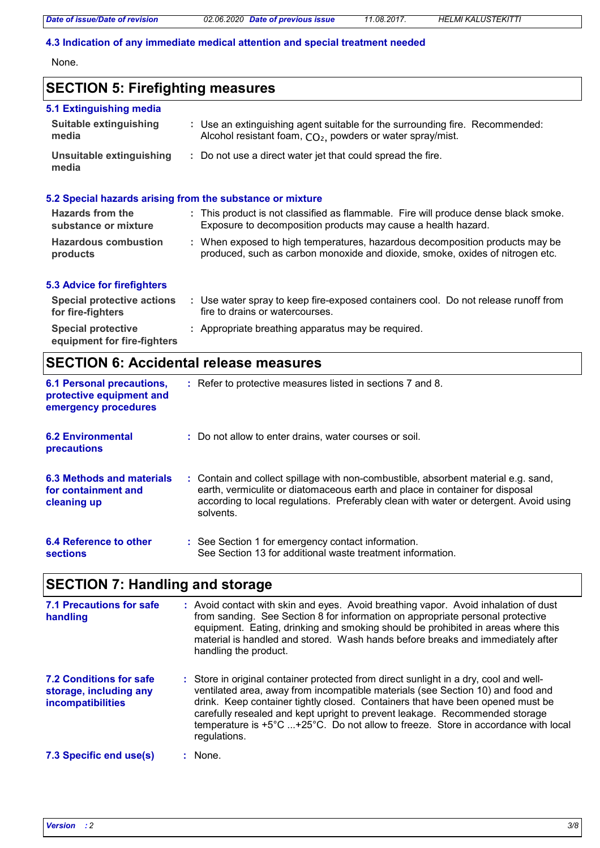#### **4.3 Indication of any immediate medical attention and special treatment needed**

None.

# **SECTION 5: Firefighting measures**

| 5.1 Extinguishing media                                |                                                                                                                                                               |
|--------------------------------------------------------|---------------------------------------------------------------------------------------------------------------------------------------------------------------|
| <b>Suitable extinguishing</b><br>media                 | : Use an extinguishing agent suitable for the surrounding fire. Recommended:<br>Alcohol resistant foam, CO <sub>2</sub> , powders or water spray/mist.        |
| Unsuitable extinguishing<br>media                      | : Do not use a direct water jet that could spread the fire.                                                                                                   |
|                                                        | 5.2 Special hazards arising from the substance or mixture                                                                                                     |
| Hazards from the<br>substance or mixture               | : This product is not classified as flammable. Fire will produce dense black smoke.<br>Exposure to decomposition products may cause a health hazard.          |
| <b>Hazardous combustion</b><br>products                | : When exposed to high temperatures, hazardous decomposition products may be<br>produced, such as carbon monoxide and dioxide, smoke, oxides of nitrogen etc. |
| <b>5.3 Advice for firefighters</b>                     |                                                                                                                                                               |
| <b>Special protective actions</b><br>for fire-fighters | : Use water spray to keep fire-exposed containers cool. Do not release runoff from<br>fire to drains or watercourses.                                         |
| Special protective                                     | : Appropriate breathing apparatus may be required.                                                                                                            |

**equipment for fire-fighters**

### **SECTION 6: Accidental release measures**

| <b>6.1 Personal precautions,</b><br>protective equipment and<br>emergency procedures | : Refer to protective measures listed in sections 7 and 8.                                                                                                                                                                                                               |
|--------------------------------------------------------------------------------------|--------------------------------------------------------------------------------------------------------------------------------------------------------------------------------------------------------------------------------------------------------------------------|
| <b>6.2 Environmental</b><br><b>precautions</b>                                       | : Do not allow to enter drains, water courses or soil.                                                                                                                                                                                                                   |
| 6.3 Methods and materials<br>for containment and<br>cleaning up                      | : Contain and collect spillage with non-combustible, absorbent material e.g. sand,<br>earth, vermiculite or diatomaceous earth and place in container for disposal<br>according to local regulations. Preferably clean with water or detergent. Avoid using<br>solvents. |
| 6.4 Reference to other<br><b>sections</b>                                            | : See Section 1 for emergency contact information.<br>See Section 13 for additional waste treatment information.                                                                                                                                                         |

# **SECTION 7: Handling and storage**

| 7.1 Precautions for safe<br>handling                                   | : Avoid contact with skin and eyes. Avoid breathing vapor. Avoid inhalation of dust<br>from sanding. See Section 8 for information on appropriate personal protective<br>equipment. Eating, drinking and smoking should be prohibited in areas where this<br>material is handled and stored. Wash hands before breaks and immediately after<br>handling the product.                                                                           |  |
|------------------------------------------------------------------------|------------------------------------------------------------------------------------------------------------------------------------------------------------------------------------------------------------------------------------------------------------------------------------------------------------------------------------------------------------------------------------------------------------------------------------------------|--|
| 7.2 Conditions for safe<br>storage, including any<br>incompatibilities | : Store in original container protected from direct sunlight in a dry, cool and well-<br>ventilated area, away from incompatible materials (see Section 10) and food and<br>drink. Keep container tightly closed. Containers that have been opened must be<br>carefully resealed and kept upright to prevent leakage. Recommended storage<br>temperature is +5°C +25°C. Do not allow to freeze. Store in accordance with local<br>regulations. |  |
| 7.3 Specific end use(s)                                                | : None.                                                                                                                                                                                                                                                                                                                                                                                                                                        |  |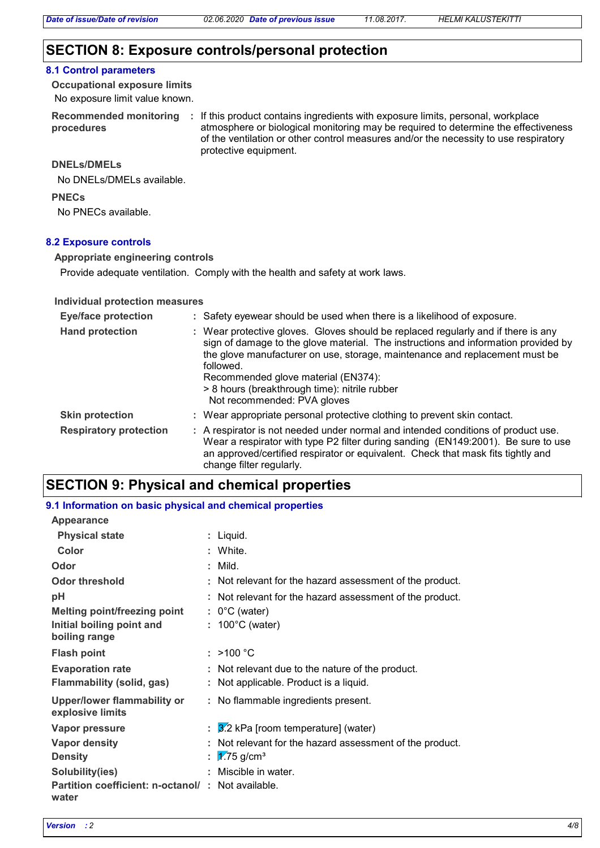### **SECTION 8: Exposure controls/personal protection**

#### **8.1 Control parameters**

No exposure limit value known. **Occupational exposure limits**

**procedures**

Recommended monitoring : If this product contains ingredients with exposure limits, personal, workplace atmosphere or biological monitoring may be required to determine the effectiveness of the ventilation or other control measures and/or the necessity to use respiratory protective equipment.

#### **DNELs/DMELs**

No DNELs/DMELs available.

#### **PNECs**

No PNECs available.

#### **8.2 Exposure controls**

#### **Appropriate engineering controls**

Provide adequate ventilation. Comply with the health and safety at work laws.

#### **Individual protection measures**

| <b>Eye/face protection</b>    | : Safety eyewear should be used when there is a likelihood of exposure.                                                                                                                                                                                                                                                                                                                    |
|-------------------------------|--------------------------------------------------------------------------------------------------------------------------------------------------------------------------------------------------------------------------------------------------------------------------------------------------------------------------------------------------------------------------------------------|
| <b>Hand protection</b>        | : Wear protective gloves. Gloves should be replaced regularly and if there is any<br>sign of damage to the glove material. The instructions and information provided by<br>the glove manufacturer on use, storage, maintenance and replacement must be<br>followed.<br>Recommended glove material (EN374):<br>> 8 hours (breakthrough time): nitrile rubber<br>Not recommended: PVA gloves |
| <b>Skin protection</b>        | : Wear appropriate personal protective clothing to prevent skin contact.                                                                                                                                                                                                                                                                                                                   |
| <b>Respiratory protection</b> | : A respirator is not needed under normal and intended conditions of product use.<br>Wear a respirator with type P2 filter during sanding (EN149:2001). Be sure to use<br>an approved/certified respirator or equivalent. Check that mask fits tightly and<br>change filter regularly.                                                                                                     |

### **SECTION 9: Physical and chemical properties**

| 9.1 Information on basic physical and chemical properties  |  |                                                          |  |  |
|------------------------------------------------------------|--|----------------------------------------------------------|--|--|
| <b>Appearance</b>                                          |  |                                                          |  |  |
| <b>Physical state</b>                                      |  | : Liquid.                                                |  |  |
| Color                                                      |  | : White.                                                 |  |  |
| Odor                                                       |  | : Mild.                                                  |  |  |
| <b>Odor threshold</b>                                      |  | : Not relevant for the hazard assessment of the product. |  |  |
| рH                                                         |  | : Not relevant for the hazard assessment of the product. |  |  |
| Melting point/freezing point                               |  | $: 0^{\circ}$ C (water)                                  |  |  |
| Initial boiling point and<br>boiling range                 |  | $: 100^{\circ}$ C (water)                                |  |  |
| <b>Flash point</b>                                         |  | : $>100 °C$                                              |  |  |
| <b>Evaporation rate</b>                                    |  | : Not relevant due to the nature of the product.         |  |  |
| Flammability (solid, gas)                                  |  | : Not applicable. Product is a liquid.                   |  |  |
| Upper/lower flammability or<br>explosive limits            |  | : No flammable ingredients present.                      |  |  |
| Vapor pressure                                             |  | $\frac{3}{2}$ kPa [room temperature] (water)             |  |  |
| <b>Vapor density</b>                                       |  | : Not relevant for the hazard assessment of the product. |  |  |
| <b>Density</b>                                             |  | : $\sqrt{7.75}$ g/cm <sup>3</sup>                        |  |  |
| Solubility(ies)                                            |  | : Miscible in water.                                     |  |  |
| Partition coefficient: n-octanol/: Not available.<br>water |  |                                                          |  |  |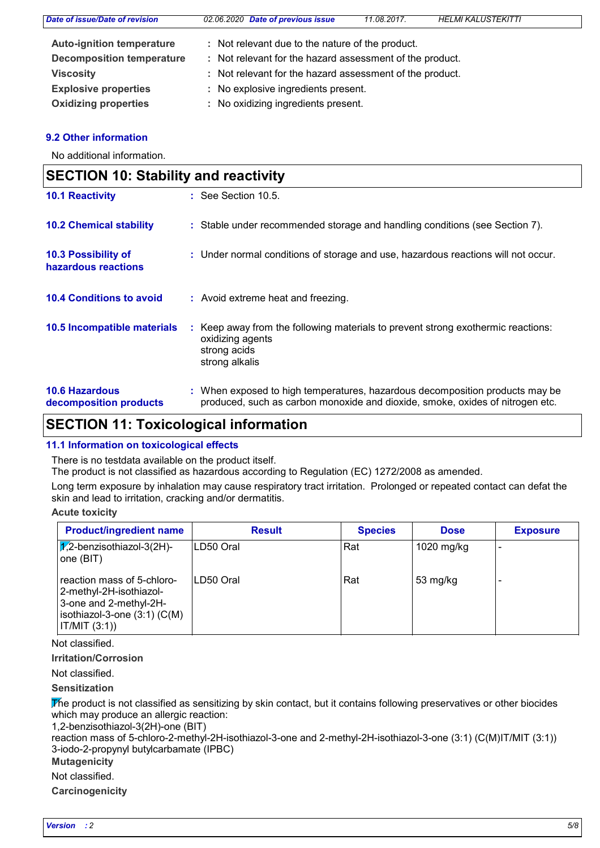| Date of issue/Date of revision   | 02.06.2020 Date of previous issue                        | 11.08.2017. | <b>HELMI KALUSTEKITTI</b> |  |
|----------------------------------|----------------------------------------------------------|-------------|---------------------------|--|
| <b>Auto-ignition temperature</b> | : Not relevant due to the nature of the product.         |             |                           |  |
| <b>Decomposition temperature</b> | : Not relevant for the hazard assessment of the product. |             |                           |  |
| <b>Viscosity</b>                 | : Not relevant for the hazard assessment of the product. |             |                           |  |
| <b>Explosive properties</b>      | : No explosive ingredients present.                      |             |                           |  |
| <b>Oxidizing properties</b>      | : No oxidizing ingredients present.                      |             |                           |  |

#### **9.2 Other information**

No additional information.

| <b>SECTION 10: Stability and reactivity</b>     |                                                                                                                                                               |  |  |
|-------------------------------------------------|---------------------------------------------------------------------------------------------------------------------------------------------------------------|--|--|
| <b>10.1 Reactivity</b>                          | $\therefore$ See Section 10.5.                                                                                                                                |  |  |
| <b>10.2 Chemical stability</b>                  | : Stable under recommended storage and handling conditions (see Section 7).                                                                                   |  |  |
| 10.3 Possibility of<br>hazardous reactions      | : Under normal conditions of storage and use, hazardous reactions will not occur.                                                                             |  |  |
| <b>10.4 Conditions to avoid</b>                 | : Avoid extreme heat and freezing.                                                                                                                            |  |  |
| 10.5 Incompatible materials                     | : Keep away from the following materials to prevent strong exothermic reactions:<br>oxidizing agents<br>strong acids<br>strong alkalis                        |  |  |
| <b>10.6 Hazardous</b><br>decomposition products | : When exposed to high temperatures, hazardous decomposition products may be<br>produced, such as carbon monoxide and dioxide, smoke, oxides of nitrogen etc. |  |  |

### **SECTION 11: Toxicological information**

#### **11.1 Information on toxicological effects**

There is no testdata available on the product itself.

The product is not classified as hazardous according to Regulation (EC) 1272/2008 as amended.

Long term exposure by inhalation may cause respiratory tract irritation. Prolonged or repeated contact can defat the skin and lead to irritation, cracking and/or dermatitis.

**Acute toxicity**

| <b>Product/ingredient name</b>                                                                                                       | <b>Result</b> | <b>Species</b> | <b>Dose</b> | <b>Exposure</b> |
|--------------------------------------------------------------------------------------------------------------------------------------|---------------|----------------|-------------|-----------------|
| $\chi$ 2-benzisothiazol-3(2H)-<br>one (BIT)                                                                                          | ILD50 Oral    | Rat            | 1020 mg/kg  |                 |
| reaction mass of 5-chloro-<br>2-methyl-2H-isothiazol-<br>3-one and 2-methyl-2H-<br>isothiazol-3-one $(3:1)$ $(C(M))$<br>IT/MIT (3:1) | ILD50 Oral    | Rat            | 53 mg/kg    |                 |

Not classified.

**Irritation/Corrosion**

Not classified.

**Sensitization**

The product is not classified as sensitizing by skin contact, but it contains following preservatives or other biocides which may produce an allergic reaction:

1,2-benzisothiazol-3(2H)-one (BIT)

reaction mass of 5-chloro-2-methyl-2H-isothiazol-3-one and 2-methyl-2H-isothiazol-3-one (3:1) (C(M)IT/MIT (3:1)) 3-iodo-2-propynyl butylcarbamate (IPBC)

### **Mutagenicity**

Not classified.

**Carcinogenicity**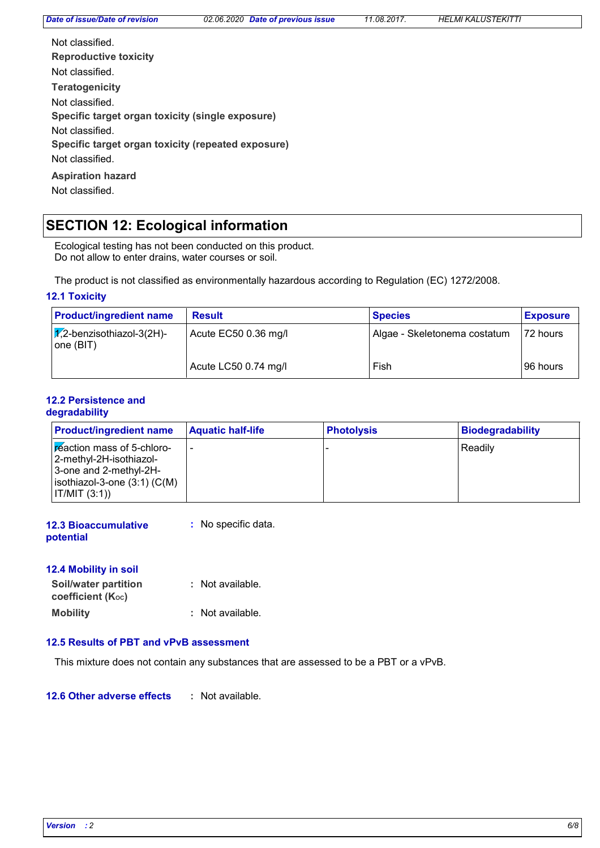*Date of issue/Date of revision 02.06.2020 Date of previous issue 11.08.2017. HELMI KALUSTEKITTI*

| Not classified                                     |
|----------------------------------------------------|
| <b>Reproductive toxicity</b>                       |
| Not classified.                                    |
| <b>Teratogenicity</b>                              |
| Not classified.                                    |
| Specific target organ toxicity (single exposure)   |
| Not classified.                                    |
| Specific target organ toxicity (repeated exposure) |
| Not classified.                                    |
| <b>Aspiration hazard</b>                           |
| Not classified.                                    |

# **SECTION 12: Ecological information**

Ecological testing has not been conducted on this product. Do not allow to enter drains, water courses or soil.

The product is not classified as environmentally hazardous according to Regulation (EC) 1272/2008.

#### **12.1 Toxicity**

| <b>Product/ingredient name</b>                 | <b>Result</b>        | <b>Species</b>               | <b>Exposure</b> |
|------------------------------------------------|----------------------|------------------------------|-----------------|
| $\sqrt{2}$ -benzisothiazol-3(2H)-<br>one (BIT) | Acute EC50 0.36 mg/l | Algae - Skeletonema costatum | 72 hours        |
|                                                | Acute LC50 0.74 mg/l | Fish                         | 196 hours       |

#### **12.2 Persistence and degradability**

| <b>Product/ingredient name</b>                                                                                                       | <b>Aquatic half-life</b> | <b>Photolysis</b> | <b>Biodegradability</b> |
|--------------------------------------------------------------------------------------------------------------------------------------|--------------------------|-------------------|-------------------------|
| Freaction mass of 5-chloro-<br> 2-methyl-2H-isothiazol-<br>3-one and 2-methyl-2H-<br>$ isothiazol-3-one(3:1)(C(M)) $<br> IT/MIT(3:1) |                          |                   | Readily                 |

| <b>12.3 Bioaccumulative</b> | : No specific data. |
|-----------------------------|---------------------|
| potential                   |                     |

#### **12.4 Mobility in soil**

| <b>Soil/water partition</b> | : Not available. |
|-----------------------------|------------------|
| coefficient $(K_{oc})$      |                  |
| <b>Mobility</b>             | : Not available. |

#### **12.5 Results of PBT and vPvB assessment**

This mixture does not contain any substances that are assessed to be a PBT or a vPvB.

**12.6 Other adverse effects :**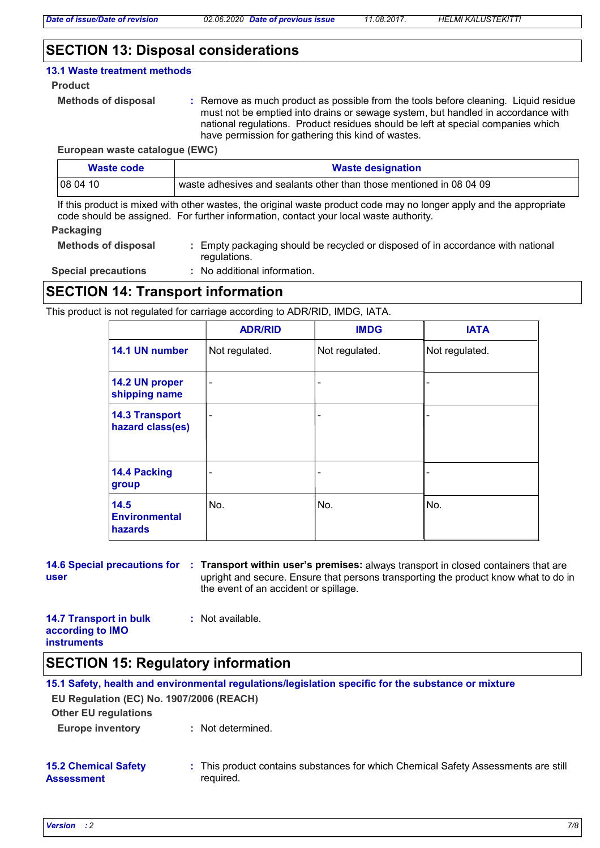### **SECTION 13: Disposal considerations**

#### **13.1 Waste treatment methods**

#### **Product**

```
Methods of disposal :
```
Remove as much product as possible from the tools before cleaning. Liquid residue must not be emptied into drains or sewage system, but handled in accordance with national regulations. Product residues should be left at special companies which have permission for gathering this kind of wastes.

**European waste catalogue (EWC)**

| Waste code | <b>Waste designation</b>                                            |
|------------|---------------------------------------------------------------------|
| 08 04 10   | waste adhesives and sealants other than those mentioned in 08 04 09 |

If this product is mixed with other wastes, the original waste product code may no longer apply and the appropriate code should be assigned. For further information, contact your local waste authority.

#### **Packaging**

| <b>Methods of disposal</b> | · Empty packaging should be recycled or disposed of in accordance with national |
|----------------------------|---------------------------------------------------------------------------------|
|                            | regulations.                                                                    |

**Special precautions :**

No additional information.

### **SECTION 14: Transport information**

This product is not regulated for carriage according to ADR/RID, IMDG, IATA.

|                                           | <b>ADR/RID</b> | <b>IMDG</b>              | <b>IATA</b>    |
|-------------------------------------------|----------------|--------------------------|----------------|
| 14.1 UN number                            | Not regulated. | Not regulated.           | Not regulated. |
| 14.2 UN proper<br>shipping name           | ۰              |                          |                |
| <b>14.3 Transport</b><br>hazard class(es) | ۰              |                          |                |
| 14.4 Packing<br>group                     |                | $\overline{\phantom{0}}$ |                |
| 14.5<br><b>Environmental</b><br>hazards   | No.            | No.                      | No.            |

# **user**

**14.6 Special precautions for : Transport within user's premises: always transport in closed containers that are** upright and secure. Ensure that persons transporting the product know what to do in the event of an accident or spillage.

| <b>14.7 Transport in bulk</b> | : Not available. |
|-------------------------------|------------------|
| according to IMO              |                  |
| <b>instruments</b>            |                  |

### **SECTION 15: Regulatory information**

| EU Regulation (EC) No. 1907/2006 (REACH)<br><b>Other EU regulations</b> | 15.1 Safety, health and environmental regulations/legislation specific for the substance or mixture |
|-------------------------------------------------------------------------|-----------------------------------------------------------------------------------------------------|
| <b>Europe inventory</b>                                                 | : Not determined.                                                                                   |
| <b>15.2 Chemical Safety</b><br><b>Assessment</b>                        | : This product contains substances for which Chemical Safety Assessments are still<br>required.     |